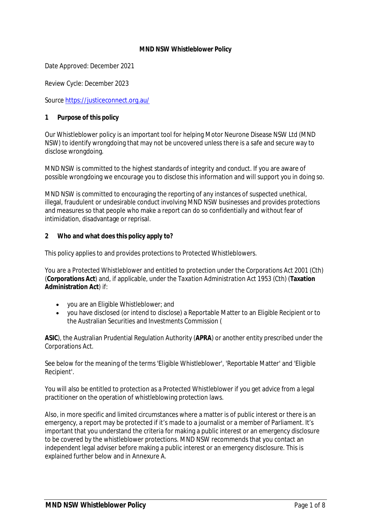#### **MND NSW Whistleblower Policy**

Date Approved: December 2021

Review Cycle: December 2023

Source https://justiceconnect.org.au/

**1 Purpose of this policy**

Our Whistleblower policy is an important tool for helping Motor Neurone Disease NSW Ltd (MND NSW) to identify wrongdoing that may not be uncovered unless there is a safe and secure way to disclose wrongdoing.

MND NSW is committed to the highest standards of integrity and conduct. If you are aware of possible wrongdoing we encourage you to disclose this information and will support you in doing so.

MND NSW is committed to encouraging the reporting of any instances of suspected unethical, illegal, fraudulent or undesirable conduct involving MND NSW businesses and provides protections and measures so that people who make a report can do so confidentially and without fear of intimidation, disadvantage or reprisal.

**2 Who and what does this policy apply to?**

This policy applies to and provides protections to Protected Whistleblowers.

You are a Protected Whistleblower and entitled to protection under the *Corporations Act 2001* (Cth) (**Corporations Act**) and, if applicable, under the *Taxation Administration Act 1953* (Cth) (**Taxation Administration Act**) if:

- · you are an Eligible Whistleblower; and
- · you have disclosed (or intend to disclose) a Reportable Matter to an Eligible Recipient or to the Australian Securities and Investments Commission (

**ASIC**), the Australian Prudential Regulation Authority (**APRA**) or another entity prescribed under the Corporations Act.

See below for the meaning of the terms 'Eligible Whistleblower', 'Reportable Matter' and 'Eligible Recipient'.

You will also be entitled to protection as a Protected Whistleblower if you get advice from a legal practitioner on the operation of whistleblowing protection laws.

Also, in more specific and limited circumstances where a matter is of public interest or there is an emergency, a report may be protected if it's made to a journalist or a member of Parliament. It's important that you understand the criteria for making a public interest or an emergency disclosure to be covered by the whistleblower protections. MND NSW recommends that you contact an independent legal adviser before making a public interest or an emergency disclosure. This is explained further below and in Annexure A.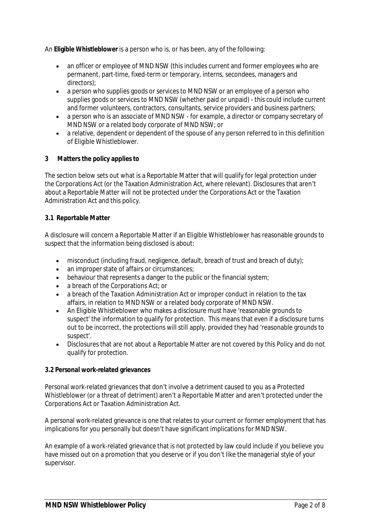An **Eligible Whistleblower** is a person who is, or has been, any of the following:

- an officer or employee of MND NSW (this includes current and former employees who are permanent, part-time, fixed-term or temporary, interns, secondees, managers and directors);
- · a person who supplies goods or services to MND NSW or an employee of a person who supplies goods or services to MND NSW (whether paid or unpaid) - this could include current and former volunteers, contractors, consultants, service providers and business partners;
- · a person who is an associate of MND NSW for example, a director or company secretary of MND NSW or a related body corporate of MND NSW; or
- · a relative, dependent or dependent of the spouse of any person referred to in this definition of Eligible Whistleblower.
- **3 Matters the policy applies to**

The section below sets out what is a Reportable Matter that will qualify for legal protection under the Corporations Act (or the Taxation Administration Act, where relevant). Disclosures that aren't about a Reportable Matter will not be protected under the Corporations Act or the Taxation Administration Act and this policy.

## **3.1 Reportable Matter**

A disclosure will concern a Reportable Matter if an Eligible Whistleblower has reasonable grounds to suspect that the information being disclosed is about:

- misconduct (including fraud, negligence, default, breach of trust and breach of duty);
- an improper state of affairs or circumstances:
- · behaviour that represents a danger to the public or the financial system;
- · a breach of the Corporations Act; or
- · a breach of the Taxation Administration Act or improper conduct in relation to the tax affairs, in relation to MND NSW or a related body corporate of MND NSW.
- · An Eligible Whistleblower who makes a disclosure must have 'reasonable grounds to suspect' the information to qualify for protection. This means that even if a disclosure turns out to be incorrect, the protections will still apply, provided they had 'reasonable grounds to suspect'.
- · Disclosures that are not about a Reportable Matter are not covered by this Policy and do not qualify for protection.

#### **3.2 Personal work-related grievances**

Personal work-related grievances that don't involve a detriment caused to you as a Protected Whistleblower (or a threat of detriment) aren't a Reportable Matter and aren't protected under the Corporations Act or Taxation Administration Act.

A personal work-related grievance is one that relates to your current or former employment that has implications for you personally but doesn't have significant implications for MND NSW.

An example of a work-related grievance that is not protected by law could include if you believe you have missed out on a promotion that you deserve or if you don't like the managerial style of your supervisor.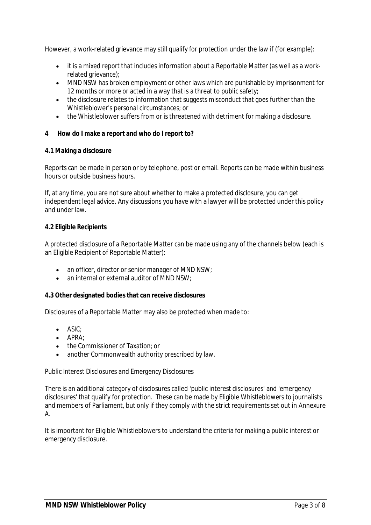However, a work-related grievance may still qualify for protection under the law if (for example):

- · it is a mixed report that includes information about a Reportable Matter (as well as a workrelated grievance);
- · MND NSW has broken employment or other laws which are punishable by imprisonment for 12 months or more or acted in a way that is a threat to public safety;
- · the disclosure relates to information that suggests misconduct that goes further than the Whistleblower's personal circumstances; or
- · the Whistleblower suffers from or is threatened with detriment for making a disclosure.
- **4 How do I make a report and who do I report to?**
- **4.1 Making a disclosure**

Reports can be made in person or by telephone, post or email. Reports can be made within business hours or outside business hours.

If, at any time, you are not sure about whether to make a protected disclosure, you can get independent legal advice. Any discussions you have with a lawyer will be protected under this policy and under law.

## **4.2 Eligible Recipients**

A protected disclosure of a Reportable Matter can be made using any of the channels below (each is an Eligible Recipient of Reportable Matter):

- an officer, director or senior manager of MND NSW;
- an internal or external auditor of MND NSW:

**4.3 Other designated bodies that can receive disclosures**

Disclosures of a Reportable Matter may also be protected when made to:

- · ASIC;
- · APRA;
- · the Commissioner of Taxation; or
- another Commonwealth authority prescribed by law.

*Public Interest Disclosures and Emergency Disclosures*

There is an additional category of disclosures called 'public interest disclosures' and 'emergency disclosures' that qualify for protection. These can be made by Eligible Whistleblowers to journalists and members of Parliament, but only if they comply with the strict requirements set out in Annexure A.

It is important for Eligible Whistleblowers to understand the criteria for making a public interest or emergency disclosure.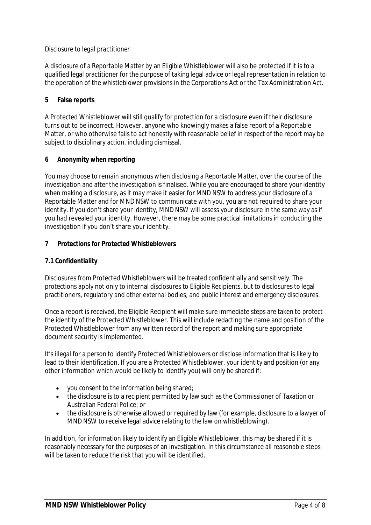## *Disclosure to legal practitioner*

A disclosure of a Reportable Matter by an Eligible Whistleblower will also be protected if it is to a qualified legal practitioner for the purpose of taking legal advice or legal representation in relation to the operation of the whistleblower provisions in the Corporations Act or the Tax Administration Act.

## **5 False reports**

A Protected Whistleblower will still qualify for protection for a disclosure even if their disclosure turns out to be incorrect. However, anyone who knowingly makes a false report of a Reportable Matter, or who otherwise fails to act honestly with reasonable belief in respect of the report may be subject to disciplinary action, including dismissal.

## **6 Anonymity when reporting**

You may choose to remain anonymous when disclosing a Reportable Matter, over the course of the investigation and after the investigation is finalised. While you are encouraged to share your identity when making a disclosure, as it may make it easier for MND NSW to address your disclosure of a Reportable Matter and for MND NSW to communicate with you, you are not required to share your identity. If you don't share your identity, MND NSW will assess your disclosure in the same way as if you had revealed your identity. However, there may be some practical limitations in conducting the investigation if you don't share your identity.

# **7 Protections for Protected Whistleblowers**

## **7.1 Confidentiality**

Disclosures from Protected Whistleblowers will be treated confidentially and sensitively. The protections apply not only to internal disclosures to Eligible Recipients, but to disclosures to legal practitioners, regulatory and other external bodies, and public interest and emergency disclosures.

Once a report is received, the Eligible Recipient will make sure immediate steps are taken to protect the identity of the Protected Whistleblower. This will include redacting the name and position of the Protected Whistleblower from any written record of the report and making sure appropriate document security is implemented.

It's illegal for a person to identify Protected Whistleblowers or disclose information that is likely to lead to their identification. If you are a Protected Whistleblower, your identity and position (or any other information which would be likely to identify you) will only be shared if:

- · you consent to the information being shared;
- · the disclosure is to a recipient permitted by law such as the Commissioner of Taxation or Australian Federal Police; or
- · the disclosure is otherwise allowed or required by law (for example, disclosure to a lawyer of MND NSW to receive legal advice relating to the law on whistleblowing).

In addition, for information likely to identify an Eligible Whistleblower, this may be shared if it is reasonably necessary for the purposes of an investigation. In this circumstance all reasonable steps will be taken to reduce the risk that you will be identified.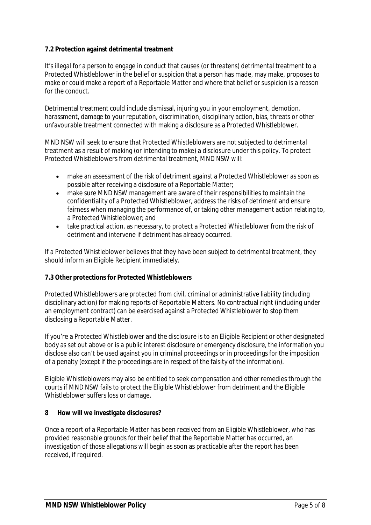## **7.2 Protection against detrimental treatment**

It's illegal for a person to engage in conduct that causes (or threatens) detrimental treatment to a Protected Whistleblower in the belief or suspicion that a person has made, may make, proposes to make or could make a report of a Reportable Matter and where that belief or suspicion is a reason for the conduct.

Detrimental treatment could include dismissal, injuring you in your employment, demotion, harassment, damage to your reputation, discrimination, disciplinary action, bias, threats or other unfavourable treatment connected with making a disclosure as a Protected Whistleblower.

MND NSW will seek to ensure that Protected Whistleblowers are not subjected to detrimental treatment as a result of making (or intending to make) a disclosure under this policy. To protect Protected Whistleblowers from detrimental treatment, MND NSW will:

- · make an assessment of the risk of detriment against a Protected Whistleblower as soon as possible after receiving a disclosure of a Reportable Matter;
- · make sure MND NSW management are aware of their responsibilities to maintain the confidentiality of a Protected Whistleblower, address the risks of detriment and ensure fairness when managing the performance of, or taking other management action relating to, a Protected Whistleblower; and
- · take practical action, as necessary, to protect a Protected Whistleblower from the risk of detriment and intervene if detriment has already occurred.

If a Protected Whistleblower believes that they have been subject to detrimental treatment, they should inform an Eligible Recipient immediately.

# **7.3 Other protections for Protected Whistleblowers**

Protected Whistleblowers are protected from civil, criminal or administrative liability (including disciplinary action) for making reports of Reportable Matters. No contractual right (including under an employment contract) can be exercised against a Protected Whistleblower to stop them disclosing a Reportable Matter.

If you're a Protected Whistleblower and the disclosure is to an Eligible Recipient or other designated body as set out above or is a public interest disclosure or emergency disclosure, the information you disclose also can't be used against you in criminal proceedings or in proceedings for the imposition of a penalty (except if the proceedings are in respect of the falsity of the information).

Eligible Whistleblowers may also be entitled to seek compensation and other remedies through the courts if MND NSW fails to protect the Eligible Whistleblower from detriment and the Eligible Whistleblower suffers loss or damage.

**8 How will we investigate disclosures?**

Once a report of a Reportable Matter has been received from an Eligible Whistleblower, who has provided reasonable grounds for their belief that the Reportable Matter has occurred, an investigation of those allegations will begin as soon as practicable after the report has been received, if required.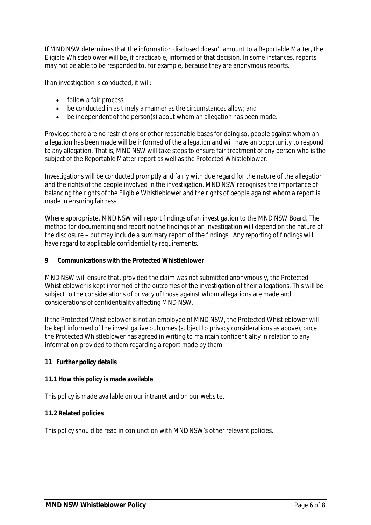If MND NSW determines that the information disclosed doesn't amount to a Reportable Matter, the Eligible Whistleblower will be, if practicable, informed of that decision. In some instances, reports may not be able to be responded to, for example, because they are anonymous reports.

If an investigation is conducted, it will:

- follow a fair process;
- · be conducted in as timely a manner as the circumstances allow; and
- · be independent of the person(s) about whom an allegation has been made.

Provided there are no restrictions or other reasonable bases for doing so, people against whom an allegation has been made will be informed of the allegation and will have an opportunity to respond to any allegation. That is, MND NSW will take steps to ensure fair treatment of any person who is the subject of the Reportable Matter report as well as the Protected Whistleblower.

Investigations will be conducted promptly and fairly with due regard for the nature of the allegation and the rights of the people involved in the investigation. MND NSW recognises the importance of balancing the rights of the Eligible Whistleblower and the rights of people against whom a report is made in ensuring fairness.

Where appropriate, MND NSW will report findings of an investigation to the MND NSW Board. The method for documenting and reporting the findings of an investigation will depend on the nature of the disclosure – but may include a summary report of the findings. Any reporting of findings will have regard to applicable confidentiality requirements.

**9 Communications with the Protected Whistleblower**

MND NSW will ensure that, provided the claim was not submitted anonymously, the Protected Whistleblower is kept informed of the outcomes of the investigation of their allegations. This will be subject to the considerations of privacy of those against whom allegations are made and considerations of confidentiality affecting MND NSW.

If the Protected Whistleblower is not an employee of MND NSW, the Protected Whistleblower will be kept informed of the investigative outcomes (subject to privacy considerations as above), once the Protected Whistleblower has agreed in writing to maintain confidentiality in relation to any information provided to them regarding a report made by them.

**11 Further policy details**

# **11.1 How this policy is made available**

This policy is made available on our intranet and on our website.

#### **11.2 Related policies**

This policy should be read in conjunction with MND NSW's other relevant policies.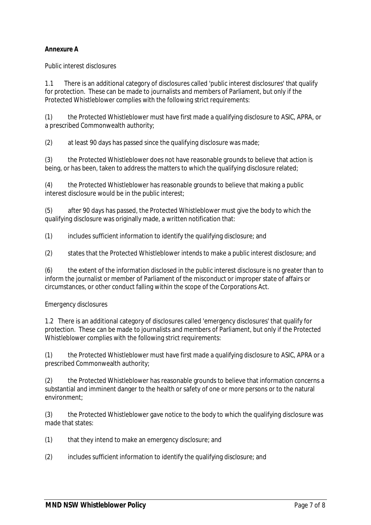# **Annexure A**

*Public interest disclosures*

1.1 There is an additional category of disclosures called 'public interest disclosures' that qualify for protection. These can be made to journalists and members of Parliament, but only if the Protected Whistleblower complies with the following strict requirements:

(1) the Protected Whistleblower must have first made a qualifying disclosure to ASIC, APRA, or a prescribed Commonwealth authority;

(2) at least 90 days has passed since the qualifying disclosure was made;

(3) the Protected Whistleblower does not have reasonable grounds to believe that action is being, or has been, taken to address the matters to which the qualifying disclosure related;

(4) the Protected Whistleblower has reasonable grounds to believe that making a public interest disclosure would be in the public interest;

(5) after 90 days has passed, the Protected Whistleblower must give the body to which the qualifying disclosure was originally made, a written notification that:

*(1)* includes sufficient information to identify the qualifying disclosure; and

*(2)* states that the Protected Whistleblower intends to make a public interest disclosure; and

(6) the extent of the information disclosed in the public interest disclosure is no greater than to inform the journalist or member of Parliament of the misconduct or improper state of affairs or circumstances, or other conduct falling within the scope of the Corporations Act.

# *Emergency disclosures*

1.2 There is an additional category of disclosures called 'emergency disclosures' that qualify for protection. These can be made to journalists and members of Parliament, but only if the Protected Whistleblower complies with the following strict requirements:

(1) the Protected Whistleblower must have first made a qualifying disclosure to ASIC, APRA or a prescribed Commonwealth authority;

(2) the Protected Whistleblower has reasonable grounds to believe that information concerns a substantial and imminent danger to the health or safety of one or more persons or to the natural environment;

(3) the Protected Whistleblower gave notice to the body to which the qualifying disclosure was made that states:

- *(1)* that they intend to make an emergency disclosure; and
- *(2)* includes sufficient information to identify the qualifying disclosure; and